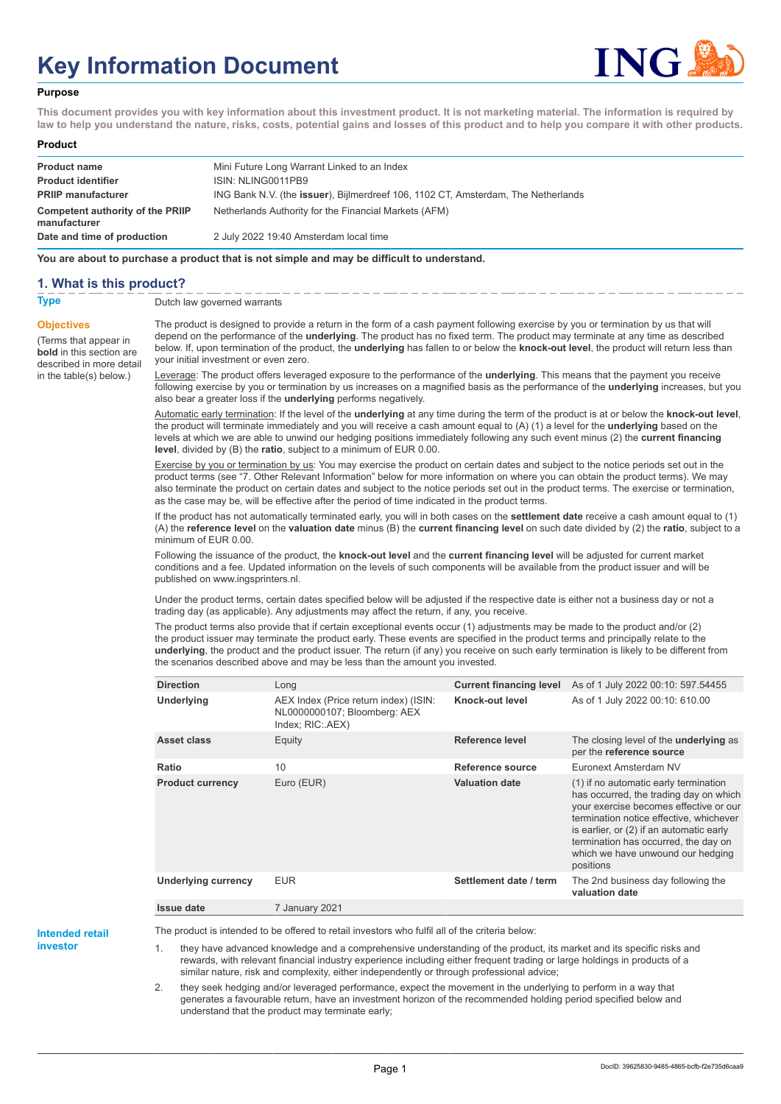# **Key Information Document**



#### **Purpose**

**This document provides you with key information about this investment product. It is not marketing material. The information is required by law to help you understand the nature, risks, costs, potential gains and losses of this product and to help you compare it with other products.**

#### **Product**

| <b>Product name</b><br><b>Product identifier</b> | Mini Future Long Warrant Linked to an Index<br>ISIN: NLING0011PB9                         |
|--------------------------------------------------|-------------------------------------------------------------------------------------------|
| <b>PRIIP manufacturer</b>                        | ING Bank N.V. (the <b>issuer</b> ), Bijlmerdreef 106, 1102 CT, Amsterdam, The Netherlands |
| Competent authority of the PRIIP<br>manufacturer | Netherlands Authority for the Financial Markets (AFM)                                     |
| Date and time of production                      | 2 July 2022 19:40 Amsterdam local time                                                    |

**You are about to purchase a product that is not simple and may be difficult to understand.**

### **1. What is this product?**

**Objectives**

(Terms that appear in **bold** in this section are

in the table(s) below.)

**Type** Dutch law governed warrants

described in more detail The product is designed to provide a return in the form of a cash payment following exercise by you or termination by us that will depend on the performance of the **underlying**. The product has no fixed term. The product may terminate at any time as described below. If, upon termination of the product, the **underlying** has fallen to or below the **knock-out level**, the product will return less than your initial investment or even zero.

> Leverage: The product offers leveraged exposure to the performance of the **underlying**. This means that the payment you receive following exercise by you or termination by us increases on a magnified basis as the performance of the **underlying** increases, but you also bear a greater loss if the **underlying** performs negatively.

> Automatic early termination: If the level of the **underlying** at any time during the term of the product is at or below the **knock-out level**, the product will terminate immediately and you will receive a cash amount equal to (A) (1) a level for the **underlying** based on the levels at which we are able to unwind our hedging positions immediately following any such event minus (2) the **current financing level**, divided by (B) the **ratio**, subject to a minimum of EUR 0.00.

> Exercise by you or termination by us: You may exercise the product on certain dates and subject to the notice periods set out in the product terms (see "7. Other Relevant Information" below for more information on where you can obtain the product terms). We may also terminate the product on certain dates and subject to the notice periods set out in the product terms. The exercise or termination, as the case may be, will be effective after the period of time indicated in the product terms.

> If the product has not automatically terminated early, you will in both cases on the **settlement date** receive a cash amount equal to (1) (A) the **reference level** on the **valuation date** minus (B) the **current financing level** on such date divided by (2) the **ratio**, subject to a minimum of EUR 0.00.

Following the issuance of the product, the **knock-out level** and the **current financing level** will be adjusted for current market conditions and a fee. Updated information on the levels of such components will be available from the product issuer and will be published on www.ingsprinters.nl.

Under the product terms, certain dates specified below will be adjusted if the respective date is either not a business day or not a trading day (as applicable). Any adjustments may affect the return, if any, you receive.

The product terms also provide that if certain exceptional events occur (1) adjustments may be made to the product and/or (2) the product issuer may terminate the product early. These events are specified in the product terms and principally relate to the **underlying**, the product and the product issuer. The return (if any) you receive on such early termination is likely to be different from the scenarios described above and may be less than the amount you invested.

| <b>Direction</b>           | Long                                                                                      | <b>Current financing level</b> | As of 1 July 2022 00:10: 597.54455                                                                                                                                                                                                                                                                         |
|----------------------------|-------------------------------------------------------------------------------------------|--------------------------------|------------------------------------------------------------------------------------------------------------------------------------------------------------------------------------------------------------------------------------------------------------------------------------------------------------|
| Underlying                 | AEX Index (Price return index) (ISIN:<br>NL0000000107; Bloomberg: AEX<br>Index; RIC: AEX) | Knock-out level                | As of 1 July 2022 00:10: 610.00                                                                                                                                                                                                                                                                            |
| Asset class                | Equity                                                                                    | Reference level                | The closing level of the <b>underlying</b> as<br>per the reference source                                                                                                                                                                                                                                  |
| Ratio                      | 10                                                                                        | Reference source               | Euronext Amsterdam NV                                                                                                                                                                                                                                                                                      |
| <b>Product currency</b>    | Euro (EUR)                                                                                | <b>Valuation date</b>          | (1) if no automatic early termination<br>has occurred, the trading day on which<br>your exercise becomes effective or our<br>termination notice effective, whichever<br>is earlier, or (2) if an automatic early<br>termination has occurred, the day on<br>which we have unwound our hedging<br>positions |
| <b>Underlying currency</b> | <b>EUR</b>                                                                                | Settlement date / term         | The 2nd business day following the<br>valuation date                                                                                                                                                                                                                                                       |
| <b>Issue date</b>          | 7 January 2021                                                                            |                                |                                                                                                                                                                                                                                                                                                            |

**Intended retail**

**investor**

The product is intended to be offered to retail investors who fulfil all of the criteria below:

they have advanced knowledge and a comprehensive understanding of the product, its market and its specific risks and rewards, with relevant financial industry experience including either frequent trading or large holdings in products of a similar nature, risk and complexity, either independently or through professional advice;

2. they seek hedging and/or leveraged performance, expect the movement in the underlying to perform in a way that generates a favourable return, have an investment horizon of the recommended holding period specified below and understand that the product may terminate early;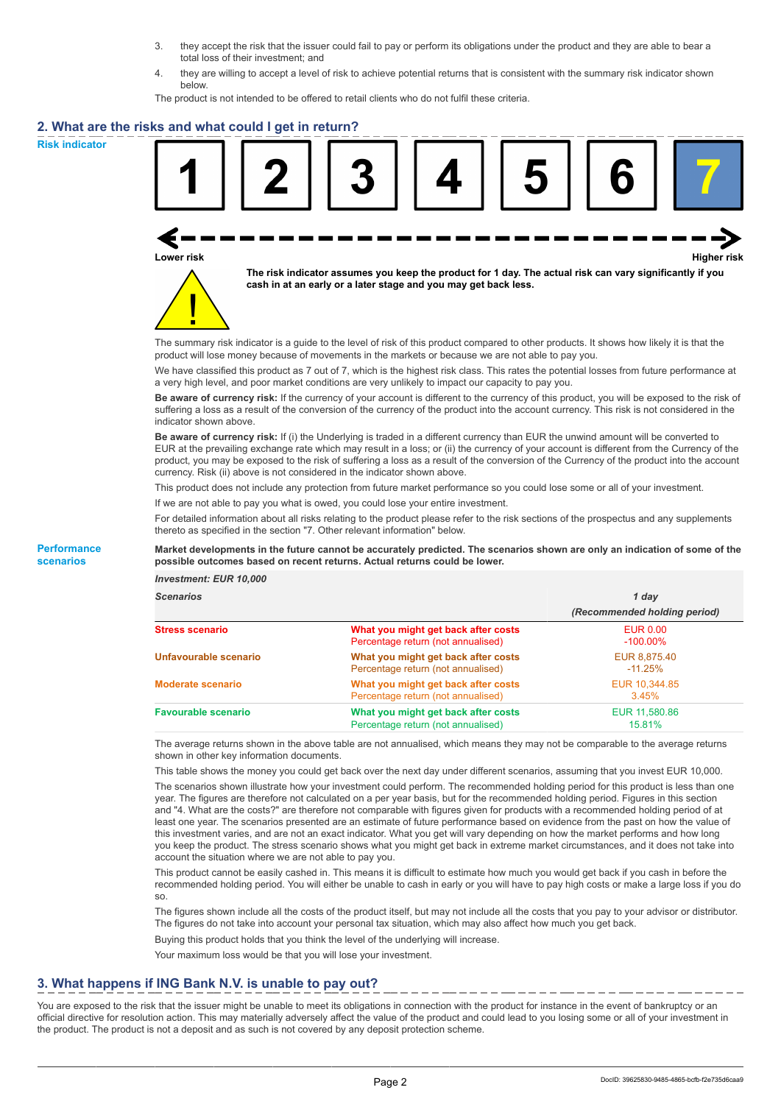- 3. they accept the risk that the issuer could fail to pay or perform its obligations under the product and they are able to bear a total loss of their investment; and
- 4. they are willing to accept a level of risk to achieve potential returns that is consistent with the summary risk indicator shown below.

The product is not intended to be offered to retail clients who do not fulfil these criteria.

### **2. What are the risks and what could I get in return?**

**Risk indicator**

**Performance scenarios**





**The risk indicator assumes you keep the product for 1 day. The actual risk can vary significantly if you cash in at an early or a later stage and you may get back less.**

The summary risk indicator is a guide to the level of risk of this product compared to other products. It shows how likely it is that the product will lose money because of movements in the markets or because we are not able to pay you.

We have classified this product as 7 out of 7, which is the highest risk class. This rates the potential losses from future performance at a very high level, and poor market conditions are very unlikely to impact our capacity to pay you.

**Be aware of currency risk:** If the currency of your account is different to the currency of this product, you will be exposed to the risk of suffering a loss as a result of the conversion of the currency of the product into the account currency. This risk is not considered in the indicator shown above.

**Be aware of currency risk:** If (i) the Underlying is traded in a different currency than EUR the unwind amount will be converted to EUR at the prevailing exchange rate which may result in a loss; or (ii) the currency of your account is different from the Currency of the product, you may be exposed to the risk of suffering a loss as a result of the conversion of the Currency of the product into the account currency. Risk (ii) above is not considered in the indicator shown above.

This product does not include any protection from future market performance so you could lose some or all of your investment.

If we are not able to pay you what is owed, you could lose your entire investment.

For detailed information about all risks relating to the product please refer to the risk sections of the prospectus and any supplements thereto as specified in the section "7. Other relevant information" below.

#### **Market developments in the future cannot be accurately predicted. The scenarios shown are only an indication of some of the possible outcomes based on recent returns. Actual returns could be lower.**

*Investment: EUR 10,000*

| cenarios |  |  |
|----------|--|--|
|          |  |  |

| <b>Scenarios</b>           |                                                                           | 1 day                          |  |
|----------------------------|---------------------------------------------------------------------------|--------------------------------|--|
|                            |                                                                           | (Recommended holding period)   |  |
| Stress scenario            | What you might get back after costs<br>Percentage return (not annualised) | <b>EUR 0.00</b><br>$-100.00\%$ |  |
| Unfavourable scenario      | What you might get back after costs<br>Percentage return (not annualised) | EUR 8,875.40<br>$-11.25\%$     |  |
| <b>Moderate scenario</b>   | What you might get back after costs<br>Percentage return (not annualised) | EUR 10,344.85<br>3.45%         |  |
| <b>Favourable scenario</b> | What you might get back after costs<br>Percentage return (not annualised) | EUR 11,580.86<br>15.81%        |  |

The average returns shown in the above table are not annualised, which means they may not be comparable to the average returns shown in other key information documents.

This table shows the money you could get back over the next day under different scenarios, assuming that you invest EUR 10,000.

The scenarios shown illustrate how your investment could perform. The recommended holding period for this product is less than one year. The figures are therefore not calculated on a per year basis, but for the recommended holding period. Figures in this section and "4. What are the costs?" are therefore not comparable with figures given for products with a recommended holding period of at least one year. The scenarios presented are an estimate of future performance based on evidence from the past on how the value of this investment varies, and are not an exact indicator. What you get will vary depending on how the market performs and how long you keep the product. The stress scenario shows what you might get back in extreme market circumstances, and it does not take into account the situation where we are not able to pay you.

This product cannot be easily cashed in. This means it is difficult to estimate how much you would get back if you cash in before the recommended holding period. You will either be unable to cash in early or you will have to pay high costs or make a large loss if you do so.

The figures shown include all the costs of the product itself, but may not include all the costs that you pay to your advisor or distributor. The figures do not take into account your personal tax situation, which may also affect how much you get back.

Buying this product holds that you think the level of the underlying will increase.

Your maximum loss would be that you will lose your investment.

## **3. What happens if ING Bank N.V. is unable to pay out?**

You are exposed to the risk that the issuer might be unable to meet its obligations in connection with the product for instance in the event of bankruptcy or an official directive for resolution action. This may materially adversely affect the value of the product and could lead to you losing some or all of your investment in the product. The product is not a deposit and as such is not covered by any deposit protection scheme.